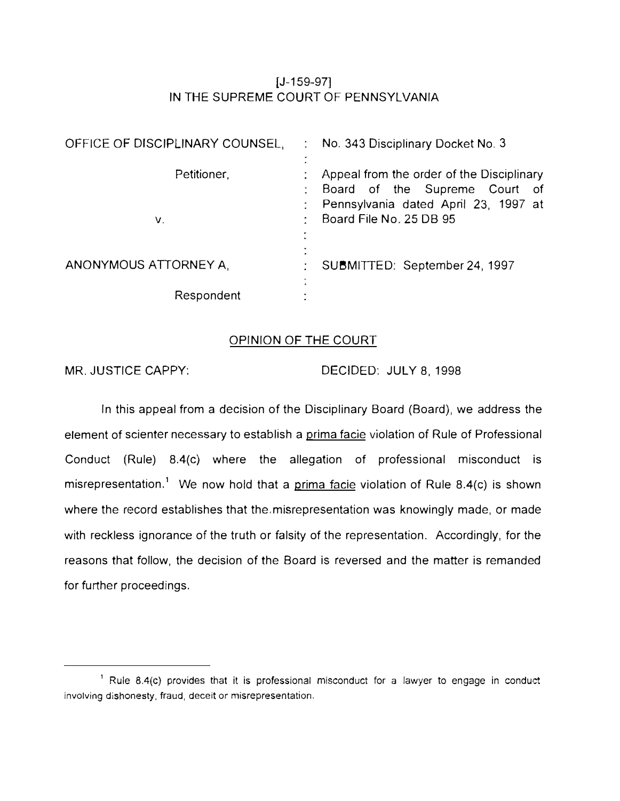# $[J-159-97]$ IN THE SUPREME COURT OF PENNSYLVANIA

| OFFICE OF DISCIPLINARY COUNSEL, |  | No. 343 Disciplinary Docket No. 3         |  |  |  |  |  |
|---------------------------------|--|-------------------------------------------|--|--|--|--|--|
|                                 |  |                                           |  |  |  |  |  |
| Petitioner,                     |  | Appeal from the order of the Disciplinary |  |  |  |  |  |
|                                 |  | Board of the Supreme Court of             |  |  |  |  |  |
|                                 |  | Pennsylvania dated April 23, 1997 at      |  |  |  |  |  |
| V.                              |  | Board File No. 25 DB 95                   |  |  |  |  |  |
|                                 |  |                                           |  |  |  |  |  |
|                                 |  |                                           |  |  |  |  |  |
| ANONYMOUS ATTORNEY A            |  | SUBMITTED: September 24, 1997             |  |  |  |  |  |
| Respondent                      |  |                                           |  |  |  |  |  |

## OPINION OF THE COURT

MR. JUSTICE CAPPY: DECIDED: JULY 8, 1998

In this appeal from a decision of the Disciplinary Board (Board), we address the element of scienter necessary to establish a prima facie violation of Rule of Professional Conduct (Rule) 8.4(c) where the allegation of professional misconduct is misrepresentation.<sup>1</sup> We now hold that a prima facie violation of Rule 8.4(c) is shown where the record establishes that the misrepresentation was knowingly made, or made with reckless ignorance of the truth or falsity of the representation. Accordingly, for the reasons that follow, the decision of the Board is reversed and the matter is remanded for further proceedings.

<sup>&</sup>lt;sup>1</sup> Rule 8.4(c) provides that it is professional misconduct for a lawyer to engage in conduct involving dishonesty, fraud, deceit or misrepresentation.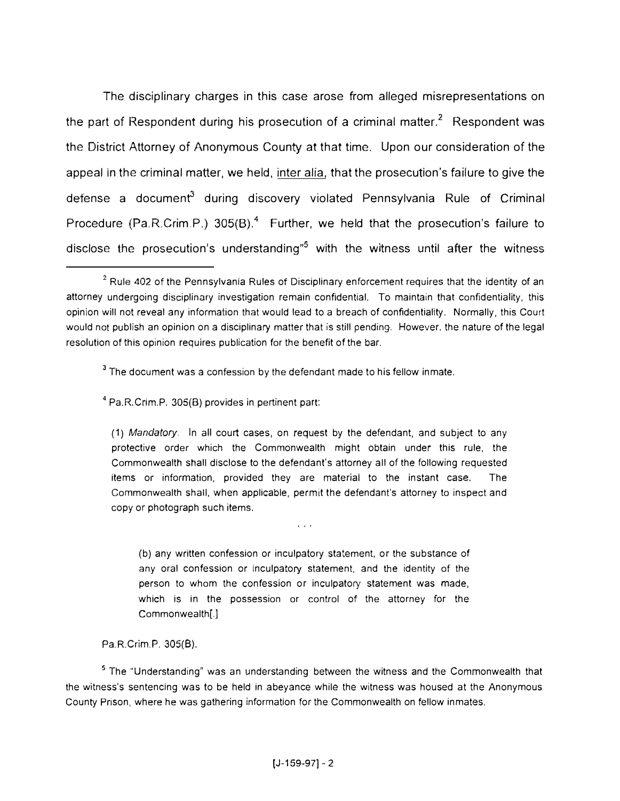The disciplinary charges in this case arose from alleged misrepresentations on the part of Respondent during his prosecution of a criminal matter.<sup>2</sup> Respondent was the District Attorney of Anonymous County at that time. Upon our consideration of the appeal in the criminal matter. we held, inter alia, that the prosecution's failure to give the defense a document<sup>3</sup> during discovery violated Pennsylvania Rule of Criminal Procedure (Pa.R.Crim.P.)  $305(B)$ .<sup>4</sup> Further, we held that the prosecution's failure to disclose the prosecution's understanding"**5** with the witness until after the witness

 $3$  The document was a confession by the defendant made to his fellow inmate.

**<sup>4</sup>**Pa.R.Crim.P. 305(8) provides in pertinent part:

(1) *Mandatory.* In all court cases, on request by the defendant, and subject to any protective order which the Commonwealth might obtain under this rule, the Commonwealth shall disclose to the defendant's attorney all of the following requested items or information. provided they are material to the instant case. The Commonwealth shall. when applicable, permit the defendant's attorney to inspect and copy or photograph such items.

(b) any written confession or inculpatory statement. or the substance of any oral confession or inculpatory statement, and the identity of the person to whom the confession or inculpatory statement was made, which is in the possession or control of the attorney for the Commonwealth[.]

 $\mathbf{r} \rightarrow \mathbf{r}$ 

Pa.R.Crim.P. 305(8).

**<sup>5</sup>**The "Understanding" was an understanding between the witness and the Commonwealth that the witness's sentencing was to be held in abeyance while the witness was housed at the Anonymous County Prison. where he was gathering information for the Commonwealth on fellow inmates.

<sup>&</sup>lt;sup>2</sup> Rule 402 of the Pennsylvania Rules of Disciplinary enforcement requires that the identity of an attorney undergoing disciplinary investigation remain confidential. To maintain that confidentiality, this opinion will not reveal any information that would lead to a breach of confidentiality. Normally, this Court would not publish an opinion on a disciplinary matter that is still pending. However. the nature of the legal resolution of this opinion requires publication for the benefit of the bar.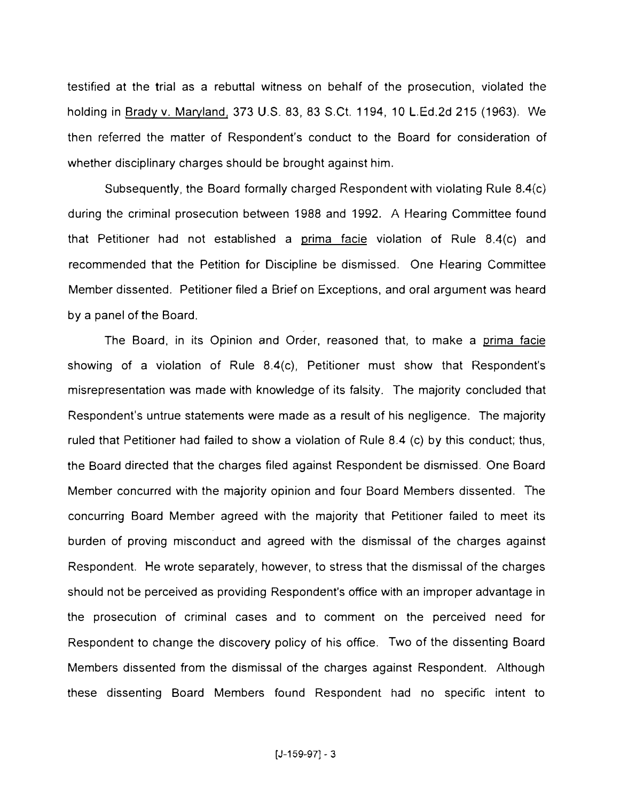testified at the trial as a rebuttal witness on behalf of the prosecution, violated the holding in Brady v. Maryland, 373 U.S. 83, 83 S.Ct. 1194, 10 L.Ed.2d 215 (1963). We then referred the matter of Respondent's conduct to the Board for consideration of whether disciplinary charges should be brought against him.

Subsequently, the Board formally charged Respondent with violating Rule 8.4(c) during the criminal prosecution between 1988 and 1992. A Hearing Committee found that Petitioner had not established a prima facie violation of Rule 8.4(c) and recommended that the Petition for Discipline be dismissed. One Hearing Committee Member dissented. Petitioner filed a Brief on Exceptions, and oral argument was heard by a panel of the Board.

The Board, in its Opinion and Order, reasoned that, to make a prima facie showing of a violation of Rule 8.4(c), Petitioner must show that Respondent's misrepresentation was made with knowledge of its falsity. The majority concluded that Respondent's untrue statements were made as a result of his negligence. The majority ruled that Petitioner had failed to show a violation of Rule 8.4 (c) by this conduct; thus, the Board directed that the charges filed against Respondent be dismissed. One Board Member concurred with the majority opinion and four Board Members dissented. The concurring Board Member agreed with the majority that Petitioner failed to meet its burden of proving misconduct and agreed with the dismissal of the charges against Respondent. He wrote separately, however, to stress that the dismissal of the charges should not be perceived as providing Respondent's office with an improper advantage in the prosecution of criminal cases and to comment on the perceived need for Respondent to change the discovery policy of his office. Two of the dissenting Board Members dissented from the dismissal of the charges against Respondent. Although these dissenting Board Members found Respondent had no specific intent to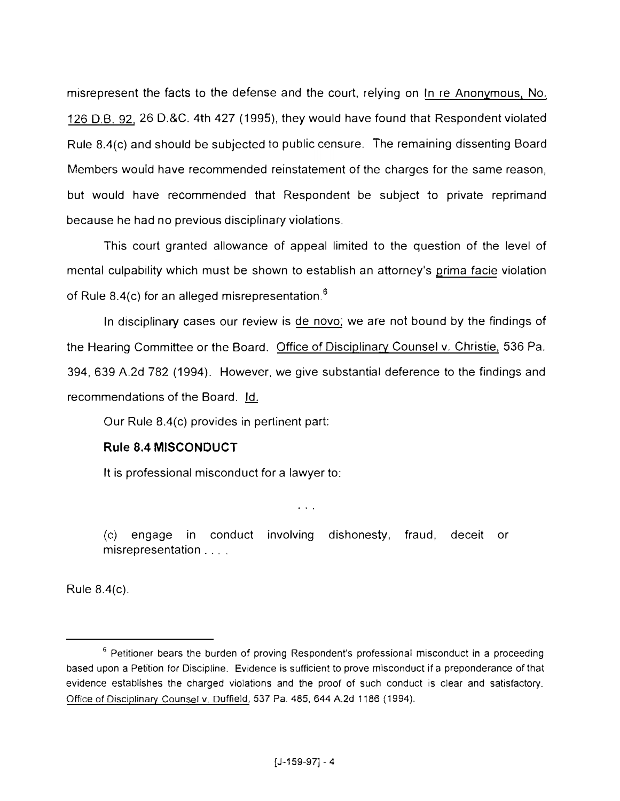misrepresent the facts to the defense and the court, relying on In re Anonymous, No. 126 D.B. 92, 26 D.&C. 4th 427 (1995), they would have found that Respondent violated Rule 8.4(c) and should be subjected to public censure. The remaining dissenting Board Members would have recommended reinstatement of the charges for the same reason, but would have recommended that Respondent be subject to private reprimand because he had no previous disciplinary violations.

This court granted allowance of appeal limited to the question of the level of mental culpability which must be shown to establish an attorney's grima facie violation of Rule 8.4(c) for an alleged misrepresentation.<sup>6</sup>

In disciplinary cases our review is de novo; we are not bound by the findings of the Hearing Committee or the Board. Office of Disciplinary Counsel v. Christie, 536 Pa. 394, 639 A.2d 782 (1994). However. we give substantial deference to the findings and recommendations of the Board. Id.

Our Rule 8.4(c) provides in pertinent part:

# **Rule 8.4 MISCONDUCT**

It is professional misconduct for a lawyer to:

(c) engage in conduct involving dishonesty, fraud, deceit or misrepresentation . . . .

 $\sim 10^{-1}$ 

Rule 8.4(c).

<sup>&</sup>lt;sup>6</sup> Petitioner bears the burden of proving Respondent's professional misconduct in a proceeding based upon a Petition for Discipline. Evidence is sufficient to prove misconduct if a preponderance of that evidence establishes the charged violations and the proof of such conduct is clear and satisfactory. Office of Disciplinary Counsel v. Duffield, 537 Pa. 485, 644 A.2d 1186 (1994).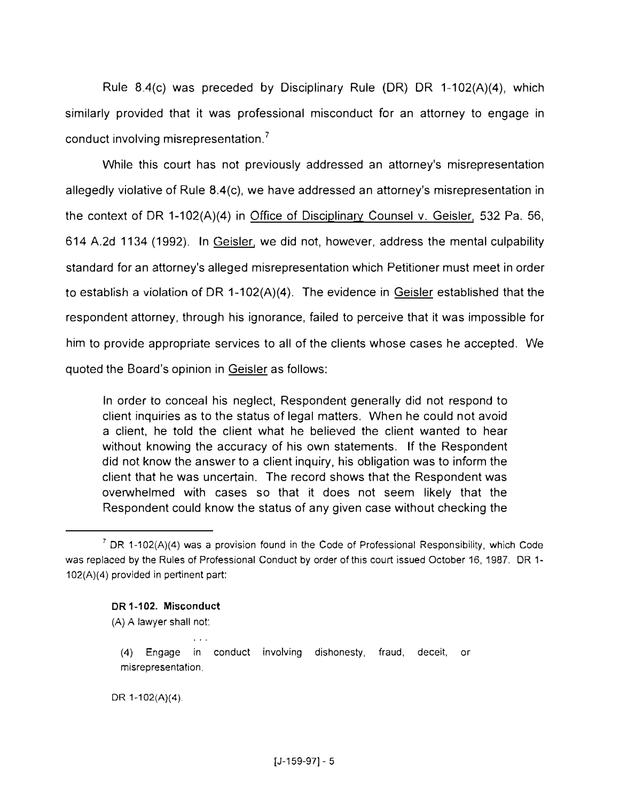Rule 8A(c) was preceded by Disciplinary Rule (DR) DR 1-102(A)(4), which similarly provided that it was professional misconduct for an attorney to engage in conduct involving misrepresentation.<sup>7</sup>

While this court has not previously addressed an attorney's misrepresentation allegedly violative of Rule 8.4(c), we have addressed an attorney's misrepresentation in the context of DR 1-102(A)(4) in Office of Disciplinary Counsel v. Geisler, 532 Pa. 56, 614 A.2d 1134 (1992). In Geisler. we did not, however, address the mental culpability standard for an attorney's alleged misrepresentation which Petitioner must meet in order to establish a violation of DR 1-102(A)(4). The evidence in Geisler established that the respondent attorney, through his ignorance, failed to perceive that it was impossible for him to provide appropriate services to all of the clients whose cases he accepted. We quoted the Board's opinion in Geisler as follows:

ln order to conceal his neglect, Respondent generally did not respond to client inquiries as to the status of legal matters. When he could not avoid a client. he told the client what he believed the client wanted to hear without knowing the accuracy of his own statements. If the Respondent did not know the answer to a client inquiry, his obligation was to inform the client that he was uncertain. The record shows that the Respondent was overwhelmed with cases so that it does not seem likely that the Respondent could know the status of any given case without checking the

#### DR 1-102. Misconduct

 $\mathbf{A}$  and  $\mathbf{A}$ 

(A) A lawyer shall not:

DR 1-102(A)(4).

<sup>&</sup>lt;sup>7</sup> DR 1-102(A)(4) was a provision found in the Code of Professional Responsibility, which Code was replaced by the Rules of Professional Conduct by order of this court issued October 16, 1987. DR 1- 102(A)(4) provided in pertinent part:

<sup>(4)</sup> Engage in conduct involving dishonesty, fraud, deceit, or misrepresentation.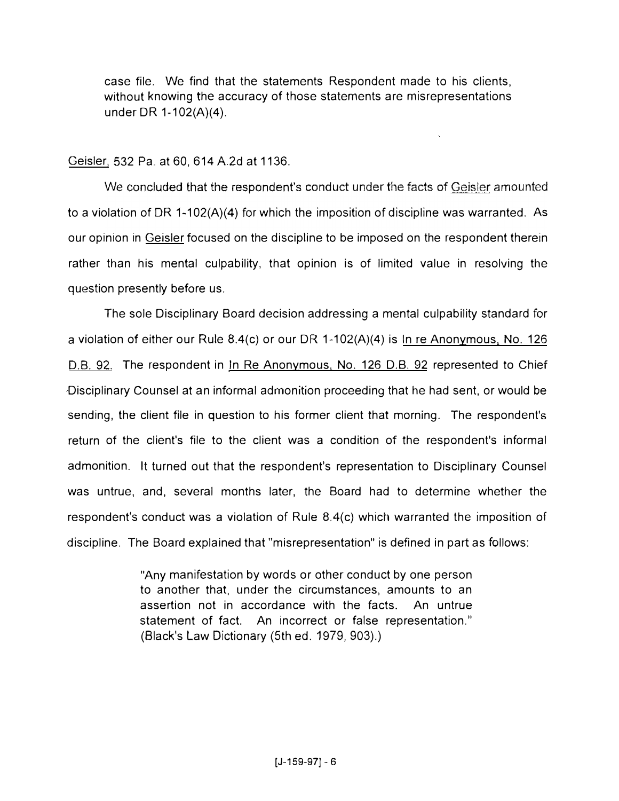case file. We find that the statements Respondent made to his clients, without knowing the accuracy of those statements are misrepresentations under DR 1-102(A)(4).

## Geisler, 532 Pa. at 60, 614A2d at 1136.

We concluded that the respondent's conduct under the facts of Geisler amounted to a violation of DR 1-102(A)(4) for which the imposition of discipline was warranted. As our opinion in Geisler focused on the discipline to be imposed on the respondent therein rather than his mental culpability, that opinion is of limited value in resolving the question presently before us.

The sole Disciplinary Board decision addressing a mental culpability standard for a violation of either our Rule 8.4(c) or our DR 1-102(A)(4) is In re Anonymous. No. 126 D.B. 92. The respondent in In Re Anonymous, No. 126 D.B. 92 represented to Chief Disciplinary Counsel at an informal admonition proceeding that he had sent, or would be sending, the client file in question to his former client that morning. The respondent's return of the client's file to the client was a condition of the respondent's informal admonition. It turned out that the respondent's representation to Disciplinary Counsel was untrue, and, several months later, the Board had to determine whether the respondent's conduct was a violation of Rule 8.4(c) which warranted the imposition of discipline. The Board explained that "misrepresentation" is defined in part as follows:

> "Any manifestation by words or other conduct by one person to another that. under the circumstances, amounts to an assertion not in accordance with the facts. An untrue statement of fact. An incorrect or false representation.'' (Black's Law Dictionary (5th ed. 1979, 903).)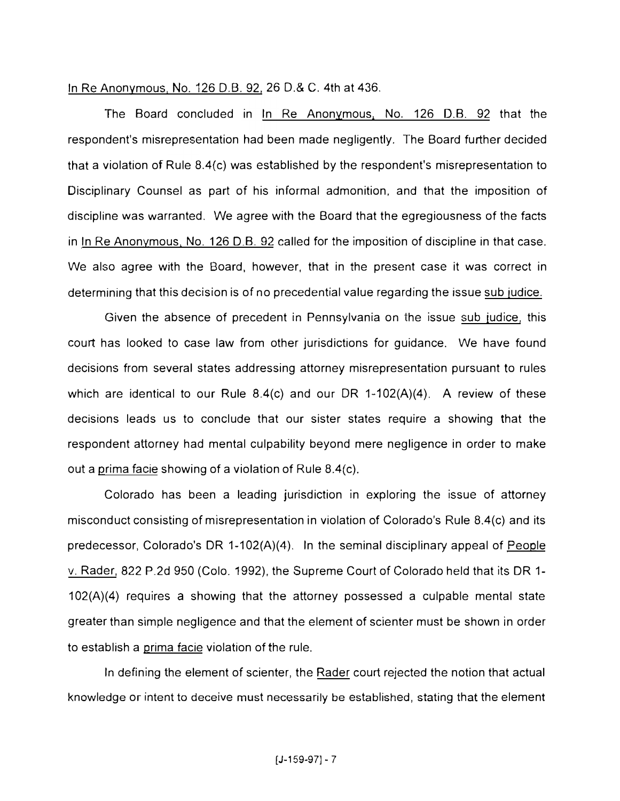### In Re Anonymous, No. 126 D.B. 92, 26 D.& C. 4th at 436.

The Board concluded in In Re Anonymous, No. 126 D.B. 92 that the respondent's misrepresentation had been made negligently. The Board further decided that a violation of Rule 8.4{c) was established by the respondent's misrepresentation to Disciplinary Counsel as part of his informal admonition, and that the imposition of discipline was warranted. We agree with the Board that the egregiousness of the facts in In Re Anonymous, No. 126 D.B. 92 called for the imposition of discipline in that case. We also agree with the Board, however, that in the present case it was correct in determining that this decision is of no precedential value regarding the issue sub iudice.

Given the absence of precedent in Pennsylvania on the issue sub iudice, this court has looked to case law from other jurisdictions for guidance. We have found decisions from several states addressing attorney misrepresentation pursuant to rules which are identical to our Rule 8.4(c) and our DR 1-102(A)(4). A review of these decisions leads us to conclude that our sister states require a showing that the respondent attorney had mental culpability beyond mere negligence in order to make out a prima facie showing of a violation of Rule 8.4(c).

Colorado has been a leading jurisdiction in exploring the issue of attorney misconduct consisting of misrepresentation in violation of Colorado's Rule 8.4(c) and its predecessor, Colorado's DR 1-102(A)(4). In the seminal disciplinary appeal of People v. Rader, 822 P.2d 950 (Colo. 1992), the Supreme Court of Colorado held that its DR 1- 102(A)(4) requires a showing that the attorney possessed a culpable mental state greater than simple negligence and that the element of scienter must be shown in order to establish a prima facie violation of the rule.

In defining the element of scienter, the Rader court rejected the notion that actual knowledge or intent to deceive must necessarily be established, stating that the element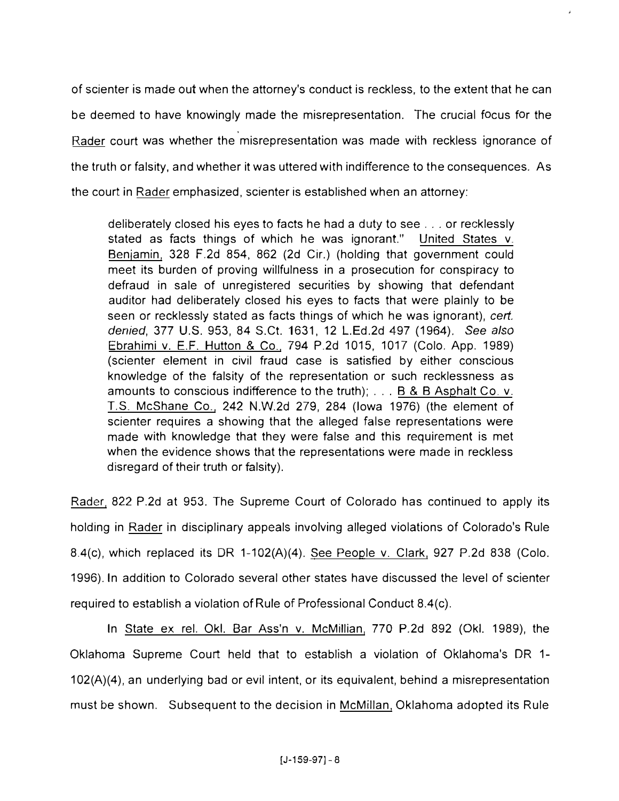of scienter is made out when the attorney's conduct is reckless, to the extent that he can be deemed to have knowingly made the misrepresentation. The crucial focus for the Rader court was whether the misrepresentation was made with reckless ignorance of the truth or falsity, and whether it was uttered with indifference to the consequences. As the court in Rader emphasized, scienter is established when an attorney:

deliberately closed his eyes to facts he had a duty to see ... or recklessly stated as facts things of which he was ignorant." United States v. Benjamin, 328 F.2d 854, 862 (2d Cir.) (holding that government could meet its burden of proving willfulness in a prosecution for conspiracy to defraud in sale of unregistered securities by showing that defendant auditor had deliberately closed his eyes to facts that were plainly to be seen or recklessly stated as facts things of which he was ignorant), *cert. denied,* 377 U.S. 953, 84 S.Ct. 1631, 12 L.Ed.2d 497 (1964). *See* also Ebrahimi v. E.F. Hutton & Co\_, 794 P.2d 1015, 1017 (Colo. App. 1989) (scienter element in civil fraud case is satisfied by either conscious knowledge of the falsity of the representation or such recklessness as amounts to conscious indifference to the truth); . . . B & B Asphalt Co. v. T.S\_ McShane Co., 242 N.W.2d 279, 284 (Iowa 1976) (the element of scienter requires a showing that the alleged false representations were made with knowledge that they were false and this requirement is met when the evidence shows that the representations were made in reckless disregard of their truth or falsity).

Rader, 822 P.2d at 953. The Supreme Court of Colorado has continued to apply its holding in Rader in disciplinary appeals involving alleged violations of Colorado's Rule 8-4(c), which replaced its DR 1-102(A)(4). See People v. Clark, 927 P.2d 838 (Colo. 1996). In addition to Colorado several other states have discussed the level of scienter required to establish a violation of Rule of Professional Conduct 8.4(c).

In State ex rel. Oki. Bar Ass'n v. McMillian, 770 P.2d 892 (Oki. 1989), the Oklahoma Supreme Court held that to establish a violation of Oklahoma's DR 1- 102(A)(4), an underlying bad or evil intent, or its equivalent, behind a misrepresentation must be shown. Subsequent to the decision in McMillan, Oklahoma adopted its Rule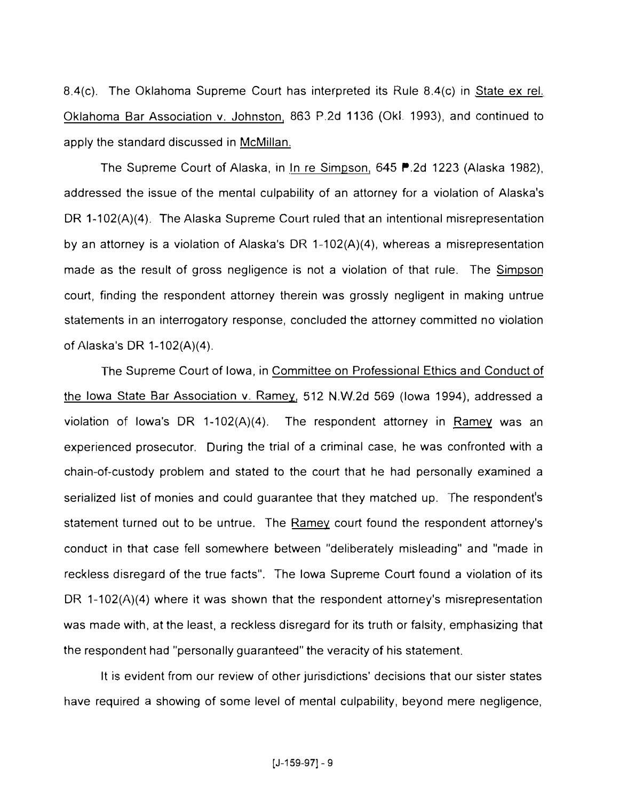8.4(c). The Oklahoma Supreme Court has interpreted its Rule 8.4(c) in State ex rel. Oklahoma Bar Association v. Johnston, 863 P.2d 1136 (OkL 1993), and continued to apply the standard discussed in McMillan.

The Supreme Court of Alaska, in In re Simpson, 645 P.2d 1223 (Alaska 1982), addressed the issue of the mental culpability of an attorney for a violation of Alaska's DR 1-102(A)(4). The Alaska Supreme Court ruled that an intentional misrepresentation by an attorney is a violation of Alaska's DR 1-102(A)(4), whereas a misrepresentation made as the result of gross negligence is not a violation of that rule. The Simpson court, finding the respondent attorney therein was grossly negligent in making untrue statements in an interrogatory response, concluded the attorney committed no violation of Alaska's DR 1-102(A)(4).

The Supreme Court of Iowa, in Committee on Professional Ethics and Conduct of the Iowa State Bar Association v. Ramey, 512 N.W.2d 569 (Iowa 1994), addressed a violation of Iowa's DR 1-102(A)(4). The respondent attorney in Ramey was an experienced prosecutor. During the trial of a criminal case, he was confronted with a chain-of-custody problem and stated to the court that he had personally examined a serialized list of monies and could guarantee that they matched up. The respondent's statement turned out to be untrue. The Ramey court found the respondent attorney's conduct in that case fell somewhere between "deliberately misleading" and "made in reckless disregard of the true facts". The Iowa Supreme Court found a violation of its DR 1-102(A)(4) where it was shown that the respondent attorney's misrepresentation was made with, at the least, a reckless disregard for its truth or falsity, emphasizing that the respondent had "personally guaranteed" the veracity of his statement.

It is evident from our review of other jurisdictions' decisions that our sister states have required a showing of some level of mental culpability, beyond mere negligence,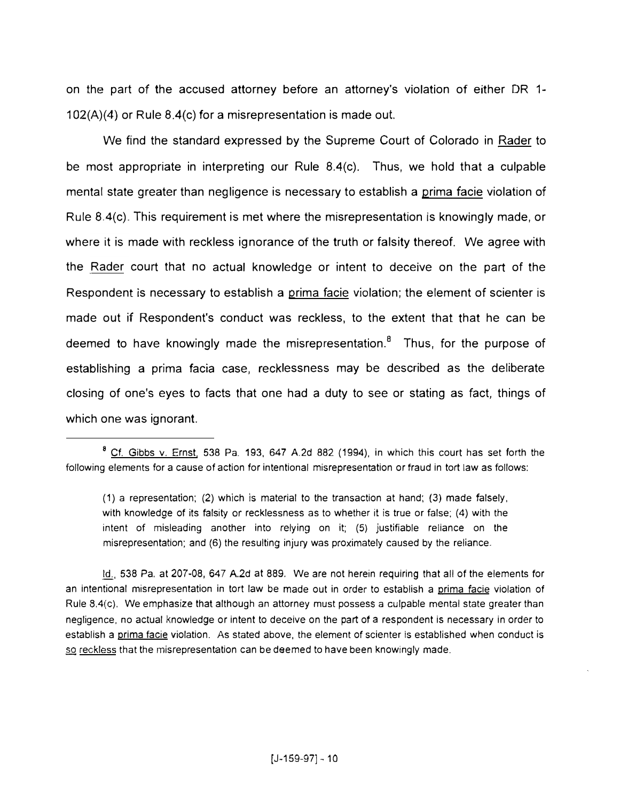on the part of the accused attorney before an attorney's violation of either DR 1-  $102(A)(4)$  or Rule  $8.4(c)$  for a misrepresentation is made out.

We find the standard expressed by the Supreme Court of Colorado in Rader to be most appropriate in interpreting our Rule 8.4(c). Thus, we hold that a culpable mental state greater than negligence is necessary to establish a prima facie violation of Rule 8.4(c) This requirement is met where the misrepresentation is knowingly made, or where it is made with reckless ignorance of the truth or falsity thereof. We agree with the Rader court that no actual knowledge or intent to deceive on the part of the Respondent is necessary to establish a prima facie violation; the element of scienter is made out if Respondent's conduct was reckless, to the extent that that he can be deemed to have knowingly made the misrepresentation.<sup>8</sup> Thus, for the purpose of establishing a prima facia case, recklessness may be described as the deliberate closing of one's eyes to facts that one had a duty to see or stating as fact, things of which one was ignorant.

Id., 538 Pa, at 207-08, 647 A.2d at 889. We are not herein requiring that all of the elements for an intentional misrepresentation in tort law be made out in order to establish a prima facie violation of Rule 8.4(c), We emphasize that although an attorney must possess a culpable mental state greater than negligence, no actual knowledge or intent to deceive on the part of a respondent is necessary in order to establish a prima facie violation. As stated above, the element of scienter is established when conduct is so reckless that the misrepresentation can be deemed to have been knowingly made.

<sup>&</sup>lt;sup>8</sup> Cf. Gibbs v. Ernst, 538 Pa. 193, 647 A.2d 882 (1994), in which this court has set forth the following elements for a cause of action for intentional misrepresentation or fraud in tort law as follows:

<sup>(1)</sup> a representation; (2) which is material to the transaction at hand; (3) made falsely, with knowledge of its falsity *or* recklessness as to whether it is true or false; (4) with the intent of misleading another into relying on it; (5) justifiable reliance on the misrepresentation; and (6) the resulting injury was proximately caused by the reliance .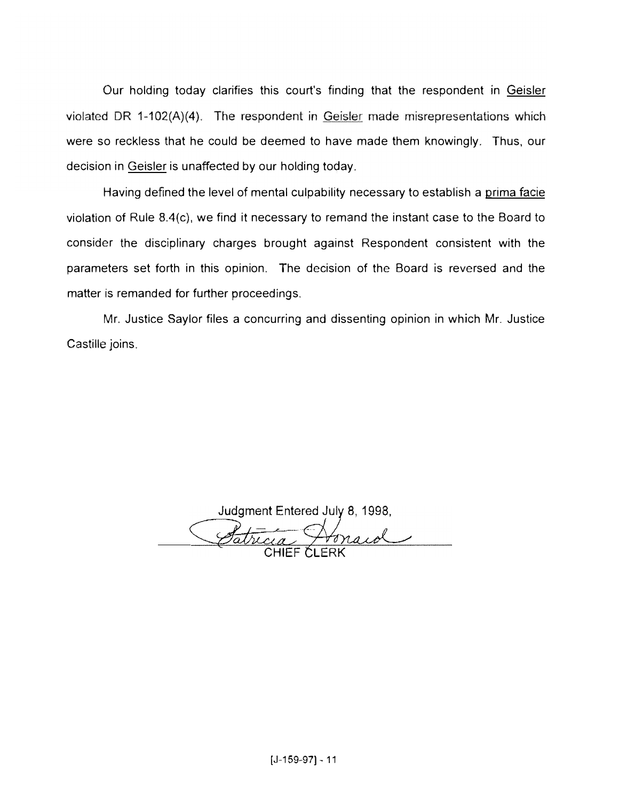Our holding today clarifies this court's finding that the respondent in Geisler violated DR 1-102(A)(4). The respondent in Geisler made misrepresentations which were so reckless that he could be deemed to have made them knowingly. Thus, our decision in Geisler is unaffected by our holding today.

Having defined the level of mental culpability necessary to establish a prima facie violation of Rule 8.4(c), we find it necessary to remand the instant case to the Board to consider the disciplinary charges brought against Respondent consistent with the parameters set forth in this opinion. The decision of the Board is reversed and the matter is remanded for further proceedings.

Mr. Justice Saylor files a concurring and dissenting opinion in which Mr. Justice Castille joins.

Judgment Entered July 8, 1998,

Patricia Honard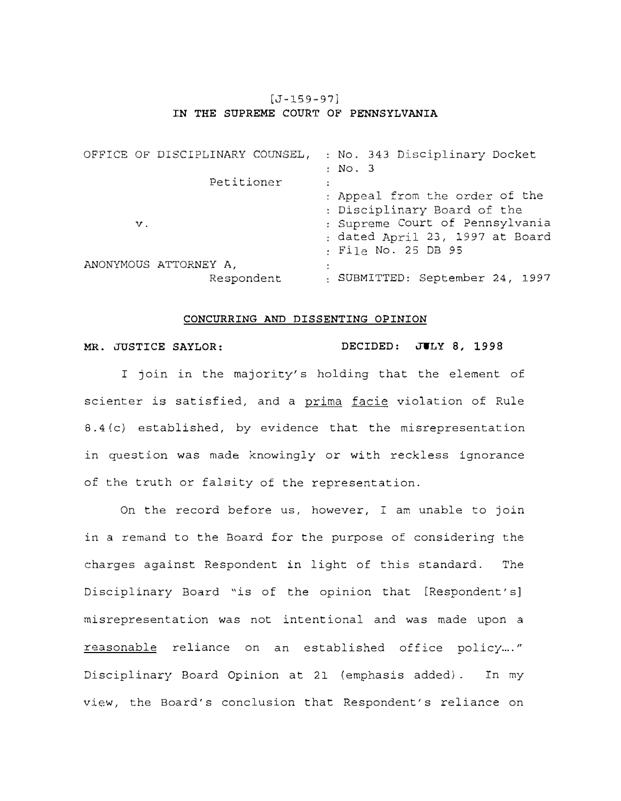## [J-159-97] **IN THE SUPREME** COURT OF **PENNSYLVANIA**

|               | OFFICE OF DISCIPLINARY COUNSEL, |  |                                |  |  | : No. 343 Disciplinary Docket   |  |  |  |
|---------------|---------------------------------|--|--------------------------------|--|--|---------------------------------|--|--|--|
|               |                                 |  | : No. 3                        |  |  |                                 |  |  |  |
|               | Petitioner                      |  |                                |  |  |                                 |  |  |  |
|               |                                 |  | : Appeal from the order of the |  |  |                                 |  |  |  |
|               |                                 |  | : Disciplinary Board of the    |  |  |                                 |  |  |  |
| $\mathbf v$ . |                                 |  |                                |  |  | : Supreme Court of Pennsylvania |  |  |  |
|               |                                 |  |                                |  |  | : dated April 23, 1997 at Board |  |  |  |
|               |                                 |  |                                |  |  | : File No. 25 DB 95             |  |  |  |
|               | ANONYMOUS ATTORNEY A.           |  |                                |  |  |                                 |  |  |  |
|               | Respondent                      |  |                                |  |  | : SUBMITTED: September 24, 1997 |  |  |  |

#### **CONCURRING AND DISSENTING OPINION**

### **MR. JUSTICE SAYLOR: DECIDED: JULY 8, 1998**

I join in the majority's holding that the element of scienter is satisfied, and a prima facie violation of Rule 8.4(c) established, by evidence that the misrepresentation in question was made knowingly or with reckless ignorance of the truth or falsity of the representation.

On the record before us, however, I am unable to join in a remand to the Board for the purpose of considering the charges against Respondent in light of this standard. The Disciplinary Board "is of the opinion that [Respondent's] misrepresentation was not intentional and was made upon a reasonable reliance on an established office policy...." Disciplinary Board Opinion at 21 (emphasis added) . In my view, the Board's conclusion that Respondent's reliance on